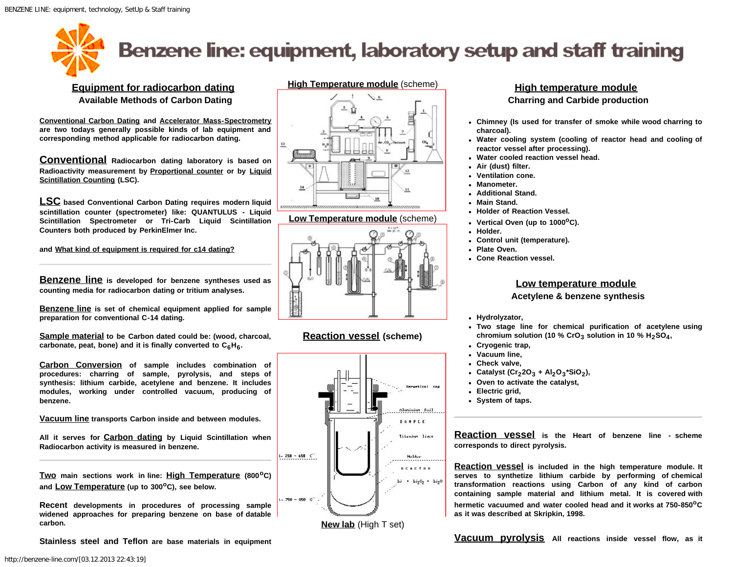<span id="page-0-0"></span>

# Benzene line: equipment, laboratory setup and staff training

#### **Equipment for radiocarbon dating Available Methods of Carbon Dating**

**Conventional Carbon Dating and Accelerator Mass-Spectrometry are two todays generally possible kinds of lab equipment and corresponding method applicable for radiocarbon dating.**

**Conventional Radiocarbon dating laboratory is based on Radioactivity measurement by Proportional counter or by Liquid Scintillation Counting (LSC).**

**LSC based Conventional Carbon Dating requires modern liquid scintillation counter (spectrometer) like: QUANTULUS - Liquid Scintillation Spectrometer or Tri-Carb Liquid Scintillation Counters both produced by PerkinElmer Inc.**

**and What kind of equipment is required for c14 dating?**

**Benzene line is developed for benzene syntheses used as counting media for radiocarbon dating or tritium analyses.**

**Benzene line is set of chemical equipment applied for sample preparation for conventional C-14 dating.**

**Sample material to be Carbon dated could be: (wood, charcoal,** carbonate, peat, bone) and it is finally converted to C<sub>6</sub>H<sub>6</sub>.

**Carbon Conversion of sample includes combination of procedures: charring of sample, pyrolysis, and steps of synthesis: lithium carbide, acetylene and benzene. It includes modules, working under controlled vacuum, producing of benzene.**

**Vacuum line transports Carbon inside and between modules.**

**All it serves for Carbon dating by Liquid Scintillation when Radiocarbon activity is measured in benzene.**

**Two main sections work in line: High Temperature (800oC) and Low Temperature (up to 300oC), see below.**

**Recent developments in procedures of processing sample widened approaches for preparing benzene on base of datable carbon.**

**Stainless steel and Teflon are base materials in equipment**



**Low Temperature module** (scheme)



#### **Reaction vessel (scheme)**



**New lab** (High T set)

#### **High temperature module Charring and Carbide production**

- **Chimney (Is used for transfer of smoke while wood charring to charcoal).**
- **Water cooling system (cooling of reactor head and cooling of reactor vessel after processing).**
- **Water cooled reaction vessel head.**
- **Air (dust) filter.**
- **Ventilation cone.**
- **Manometer.**
- **Additional Stand.**
- **Main Stand.**
- **Holder of Reaction Vessel.**
- **Vertical Oven (up to 1000oC).**
- **Holder.**
- **Control unit (temperature).**
- **Plate Oven.**
- **Cone Reaction vessel.**

### **Low temperature module**

#### **Acetylene & benzene synthesis**

- **Hydrolyzator,**
- **Two stage line for chemical purification of acetylene using** chromium solution (10 %  $Cro<sub>3</sub>$  solution in 10 %  $H<sub>2</sub>SO<sub>4</sub>$ ,
- **Cryogenic trap,**
- **Vacuum line,**
- **Check valve,**
- Catalyst  $(Cr_22O_3 + Al_2O_3 * SiO_2)$ ,
- **Oven to activate the catalyst,**
- **Electric grid,**
- **System of taps.**

**Reaction vessel is the Heart of benzene line - scheme corresponds to direct pyrolysis.**

**Reaction vessel is included in the high temperature module. It serves to synthetize lithium carbide by performing of chemical transformation reactions using Carbon of any kind of carbon containing sample material and lithium metal. It is covered with hermetic vacuumed and water cooled head and it works at 750-850oC as it was described at Skripkin, 1998.**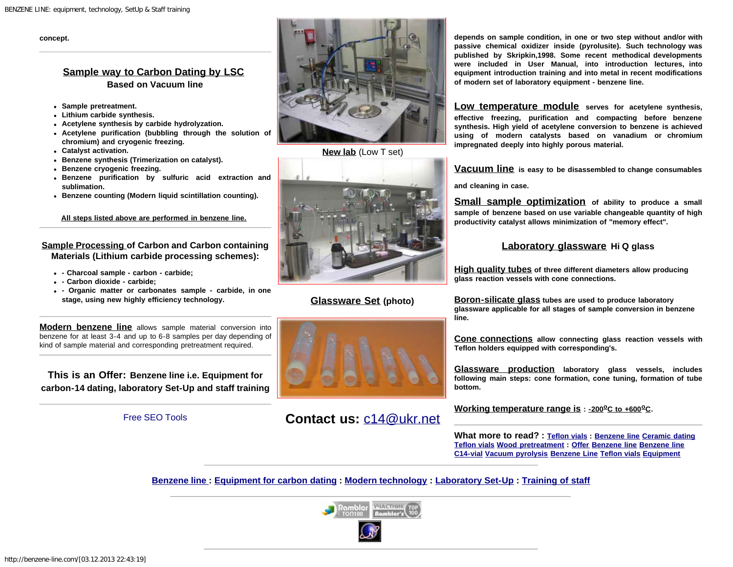**concept.**

#### **Sample way to Carbon Dating by LSC Based on Vacuum line**

- **Sample pretreatment.**
- **Lithium carbide synthesis.**
- **Acetylene synthesis by carbide hydrolyzation.**
- **Acetylene purification (bubbling through the solution of chromium) and cryogenic freezing.**
- **Catalyst activation.**
- **Benzene synthesis (Trimerization on catalyst).**
- **Benzene cryogenic freezing.**
- **Benzene purification by sulfuric acid extraction and sublimation.**
- **Benzene counting (Modern liquid scintillation counting).**

**All steps listed above are performed in benzene line.**

#### **Sample Processing of Carbon and Carbon containing Materials (Lithium carbide processing schemes):**

- **Charcoal sample carbon carbide;**
- **Carbon dioxide carbide;**
- **Organic matter or carbonates sample carbide, in one stage, using new highly efficiency technology.**

**Modern benzene line** allows sample material conversion into benzene for at least 3-4 and up to 6-8 samples per day depending of kind of sample material and corresponding pretreatment required.

**This is an Offer: Benzene line i.e. Equipment for carbon-14 dating, laboratory Set-Up and staff training**

#### [Free SEO Tools](http://www.scrubtheweb.com/abs/meta-check.html)



**[New lab](http://benzene-line.com/images/lab-es-low.jpg)** (Low T set)



## **Glassware Set (photo)**



# **Contact us:** [c14@ukr.net](mailto:buzinny@gmail.com,mbuz@ukr.net)

**depends on sample condition, in one or two step without and/or with passive chemical oxidizer inside (pyrolusite). Such technology was published by Skripkin,1998. Some recent methodical developments were included in User Manual, into introduction lectures, into equipment introduction training and into metal in recent modifications of modern set of laboratory equipment - benzene line.**

**Low temperature module serves for acetylene synthesis, effective freezing, purification and compacting before benzene synthesis. High yield of acetylene conversion to benzene is achieved using of modern catalysts based on vanadium or chromium impregnated deeply into highly porous material.**

**Vacuum line is easy to be disassembled to change consumables**

**and cleaning in case.**

**Small sample optimization of ability to produce a small sample of benzene based on use variable changeable quantity of high productivity catalyst allows minimization of "memory effect".**

#### **Laboratory glassware Hi Q glass**

**High quality tubes of three different diameters allow producing glass reaction vessels with cone connections.**

**Boron-silicate glass tubes are used to produce laboratory glassware applicable for all stages of sample conversion in benzene line.**

**Cone connections allow connecting glass reaction vessels with Teflon holders equipped with corresponding's.**

**Glassware production laboratory glass vessels, includes following main steps: cone formation, cone tuning, formation of tube bottom.**

**Working temperature range is : - 200°C to +600°C.** 

**What more to read? : [Teflon vials](http://benzene-line.com/teflon-vials.html) : [Benzene line](http://benzene-line.com/images/benzene-line.jpg) [Ceramic dating](http://benzene-line.com/images/pottery_ceramic_carbon_dating.jpg) [Teflon vials](http://benzene-line.com/images/teflon-vials.jpg) [Wood pretreatment](http://benzene-line.com/images/wood-treatment-in-soxhlet.jpg) : [Offer](http://benzene-line.com/pdf/benzeneline.pdf) [Benzene line](http://benzene-line.com/pdf/benzeneline.pdf) [Benzene line](http://benzene-line.com/pdf/benzene-line.pdf) [C14-vial](http://benzene-line.com/pdf/1995-c14-vial.pdf) [Vacuum pyrolysis](http://benzene-line.com/pdf/2005-2254-1-PB.pdf) [Benzene Line](http://benzene-line.com/pdf/Benzene Line.pdf) [Teflon vials](http://benzene-line.com/pdf/Teflon vials.pdf) [Equipment](http://benzene-line.com/pdf/Equipment.pdf)**

**[Benzene line :](#page-0-0) [Equipment for carbon dating](http://benzene-line.com/equipment.htm) : [Modern technology](http://benzene-line.com/technology.htm) : [Laboratory Set-Up](http://benzene-line.com/setup.htm) : [Training of staff](http://benzene-line.com/training.htm)**